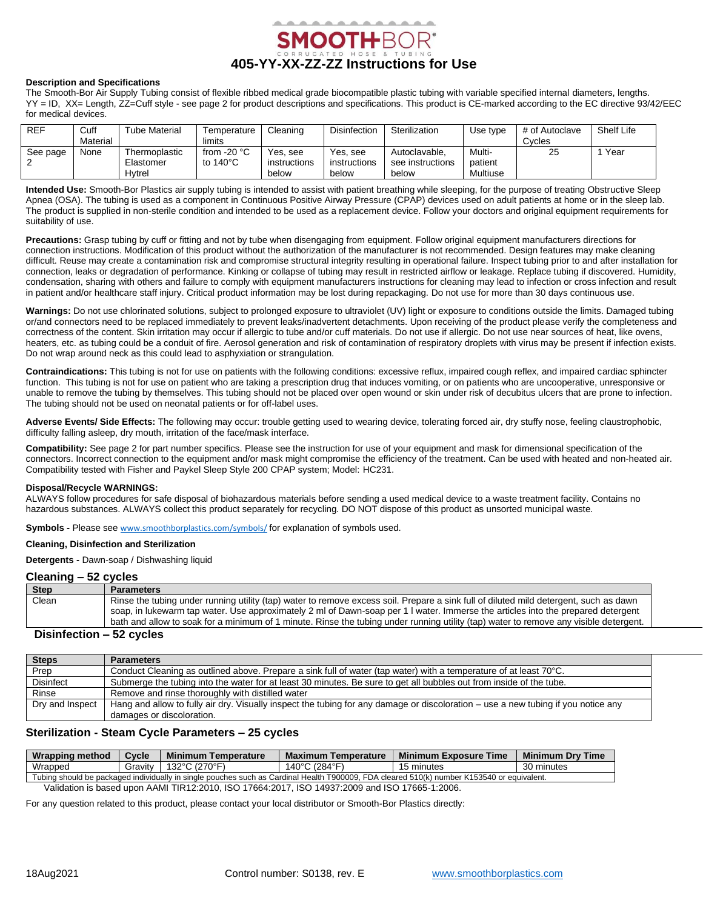

### **Description and Specifications**

The Smooth-Bor Air Supply Tubing consist of flexible ribbed medical grade biocompatible plastic tubing with variable specified internal diameters, lengths. YY = ID, XX= Length, ZZ=Cuff style - see page 2 for product descriptions and specifications. This product is CE-marked according to the EC directive 93/42/EEC for medical devices.

| <b>REF</b> | Cuff     | <b>Tube Material</b> | Temperature        | Cleaning     | <b>Disinfection</b> | Sterilization    | Use type      | # of Autoclave | Shelf Life |
|------------|----------|----------------------|--------------------|--------------|---------------------|------------------|---------------|----------------|------------|
|            | Material |                      | limits             |              |                     |                  |               | Cycles         |            |
| See page   | None     | Thermoplastic        | from $-20$ °C      | Yes. see     | Yes, see            | Autoclavable.    | <b>Multi-</b> | 25             | Year       |
|            |          | Elastomer            | to $140^{\circ}$ C | instructions | instructions        | see instructions | patient       |                |            |
|            |          | Hvtrel               |                    | below        | below               | below            | Multiuse      |                |            |

**Intended Use:** Smooth-Bor Plastics air supply tubing is intended to assist with patient breathing while sleeping, for the purpose of treating Obstructive Sleep Apnea (OSA). The tubing is used as a component in Continuous Positive Airway Pressure (CPAP) devices used on adult patients at home or in the sleep lab. The product is supplied in non-sterile condition and intended to be used as a replacement device. Follow your doctors and original equipment requirements for suitability of use.

**Precautions:** Grasp tubing by cuff or fitting and not by tube when disengaging from equipment. Follow original equipment manufacturers directions for connection instructions. Modification of this product without the authorization of the manufacturer is not recommended. Design features may make cleaning difficult. Reuse may create a contamination risk and compromise structural integrity resulting in operational failure. Inspect tubing prior to and after installation for connection, leaks or degradation of performance. Kinking or collapse of tubing may result in restricted airflow or leakage. Replace tubing if discovered. Humidity, condensation, sharing with others and failure to comply with equipment manufacturers instructions for cleaning may lead to infection or cross infection and result in patient and/or healthcare staff injury. Critical product information may be lost during repackaging. Do not use for more than 30 days continuous use.

Warnings: Do not use chlorinated solutions, subject to prolonged exposure to ultraviolet (UV) light or exposure to conditions outside the limits. Damaged tubing or/and connectors need to be replaced immediately to prevent leaks/inadvertent detachments. Upon receiving of the product please verify the completeness and correctness of the content. Skin irritation may occur if allergic to tube and/or cuff materials. Do not use if allergic. Do not use near sources of heat, like ovens, heaters, etc. as tubing could be a conduit of fire. Aerosol generation and risk of contamination of respiratory droplets with virus may be present if infection exists. Do not wrap around neck as this could lead to asphyxiation or strangulation.

**Contraindications:** This tubing is not for use on patients with the following conditions: excessive reflux, impaired cough reflex, and impaired cardiac sphincter function. This tubing is not for use on patient who are taking a prescription drug that induces vomiting, or on patients who are uncooperative, unresponsive or unable to remove the tubing by themselves. This tubing should not be placed over open wound or skin under risk of decubitus ulcers that are prone to infection. The tubing should not be used on neonatal patients or for off-label uses.

Adverse Events/ Side Effects: The following may occur: trouble getting used to wearing device, tolerating forced air, dry stuffy nose, feeling claustrophobic, difficulty falling asleep, dry mouth, irritation of the face/mask interface.

**Compatibility:** See page 2 for part number specifics. Please see the instruction for use of your equipment and mask for dimensional specification of the connectors. Incorrect connection to the equipment and/or mask might compromise the efficiency of the treatment. Can be used with heated and non-heated air. Compatibility tested with Fisher and Paykel Sleep Style 200 CPAP system; Model: HC231.

#### **Disposal/Recycle WARNINGS:**

ALWAYS follow procedures for safe disposal of biohazardous materials before sending a used medical device to a waste treatment facility. Contains no hazardous substances. ALWAYS collect this product separately for recycling. DO NOT dispose of this product as unsorted municipal waste.

**Symbols -** Please see [www.smoothborplastics.com/symbols/](https://www.smoothborplastics.com/symbols/) for explanation of symbols used.

#### **Cleaning, Disinfection and Sterilization**

**Detergents -** Dawn-soap / Dishwashing liquid

#### **Cleaning – 52 cycles**

| <b>Step</b> | <b>Parameters</b>                                                                                                                     |
|-------------|---------------------------------------------------------------------------------------------------------------------------------------|
| Clean       | Rinse the tubing under running utility (tap) water to remove excess soil. Prepare a sink full of diluted mild detergent, such as dawn |
|             | soap, in lukewarm tap water. Use approximately 2 ml of Dawn-soap per 1 I water. Immerse the articles into the prepared detergent      |
|             | bath and allow to soak for a minimum of 1 minute. Rinse the tubing under running utility (tap) water to remove any visible detergent. |

#### **Disinfection – 52 cycles**

| <b>Steps</b>     | <b>Parameters</b>                                                                                                                 |  |  |  |
|------------------|-----------------------------------------------------------------------------------------------------------------------------------|--|--|--|
| Prep             | Conduct Cleaning as outlined above. Prepare a sink full of water (tap water) with a temperature of at least 70°C.                 |  |  |  |
| <b>Disinfect</b> | Submerge the tubing into the water for at least 30 minutes. Be sure to get all bubbles out from inside of the tube.               |  |  |  |
| Rinse            | Remove and rinse thoroughly with distilled water                                                                                  |  |  |  |
| Dry and Inspect  | Hang and allow to fully air dry. Visually inspect the tubing for any damage or discoloration – use a new tubing if you notice any |  |  |  |
|                  | damages or discoloration.                                                                                                         |  |  |  |

### **Sterilization - Steam Cycle Parameters – 25 cycles**

| Wrapping method                                                                                                                            | <b>Cycle</b> | <b>Minimum</b><br>Temperature | Maximum Temperature | <b>Minimum Exposure Time</b> | <b>Minimum Drv Time</b> |  |  |  |
|--------------------------------------------------------------------------------------------------------------------------------------------|--------------|-------------------------------|---------------------|------------------------------|-------------------------|--|--|--|
| Wrapped                                                                                                                                    | Gravitv      | 132°C (270°F)                 | ⊥40°C               | 15 minutes                   | 30 minutes              |  |  |  |
| Tubing should be packaged individually in single pouches such as Cardinal Health T900009. FDA cleared 510(k) number K153540 or equivalent. |              |                               |                     |                              |                         |  |  |  |

Validation is based upon AAMI TIR12:2010, ISO 17664:2017, ISO 14937:2009 and ISO 17665-1:2006.

For any question related to this product, please contact your local distributor or Smooth-Bor Plastics directly: